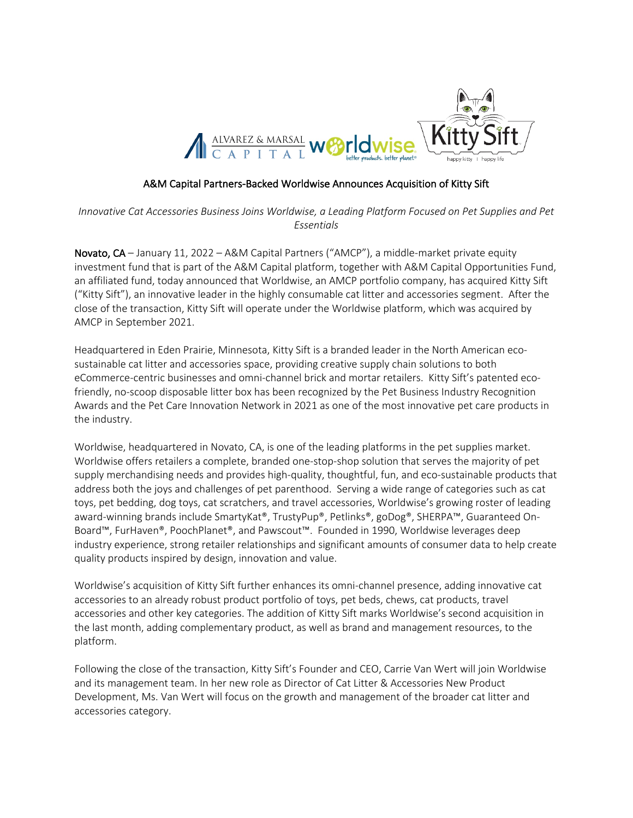

### A&M Capital Partners-Backed Worldwise Announces Acquisition of Kitty Sift

*Innovative Cat Accessories Business Joins Worldwise, a Leading Platform Focused on Pet Supplies and Pet Essentials*

Novato, CA – January 11, 2022 – A&M Capital Partners ("AMCP"), a middle-market private equity investment fund that is part of the A&M Capital platform, together with A&M Capital Opportunities Fund, an affiliated fund, today announced that Worldwise, an AMCP portfolio company, has acquired Kitty Sift ("Kitty Sift"), an innovative leader in the highly consumable cat litter and accessories segment. After the close of the transaction, Kitty Sift will operate under the Worldwise platform, which was acquired by AMCP in September 2021.

Headquartered in Eden Prairie, Minnesota, Kitty Sift is a branded leader in the North American ecosustainable cat litter and accessories space, providing creative supply chain solutions to both eCommerce-centric businesses and omni-channel brick and mortar retailers. Kitty Sift's patented ecofriendly, no-scoop disposable litter box has been recognized by the Pet Business Industry Recognition Awards and the Pet Care Innovation Network in 2021 as one of the most innovative pet care products in the industry.

Worldwise, headquartered in Novato, CA, is one of the leading platforms in the pet supplies market. Worldwise offers retailers a complete, branded one-stop-shop solution that serves the majority of pet supply merchandising needs and provides high-quality, thoughtful, fun, and eco-sustainable products that address both the joys and challenges of pet parenthood. Serving a wide range of categories such as cat toys, pet bedding, dog toys, cat scratchers, and travel accessories, Worldwise's growing roster of leading award-winning brands include SmartyKat®, TrustyPup®, Petlinks®, goDog®, SHERPA™, Guaranteed On-Board™, FurHaven®, PoochPlanet®, and Pawscout™. Founded in 1990, Worldwise leverages deep industry experience, strong retailer relationships and significant amounts of consumer data to help create quality products inspired by design, innovation and value.

Worldwise's acquisition of Kitty Sift further enhances its omni-channel presence, adding innovative cat accessories to an already robust product portfolio of toys, pet beds, chews, cat products, travel accessories and other key categories. The addition of Kitty Sift marks Worldwise's second acquisition in the last month, adding complementary product, as well as brand and management resources, to the platform.

Following the close of the transaction, Kitty Sift's Founder and CEO, Carrie Van Wert will join Worldwise and its management team. In her new role as Director of Cat Litter & Accessories New Product Development, Ms. Van Wert will focus on the growth and management of the broader cat litter and accessories category.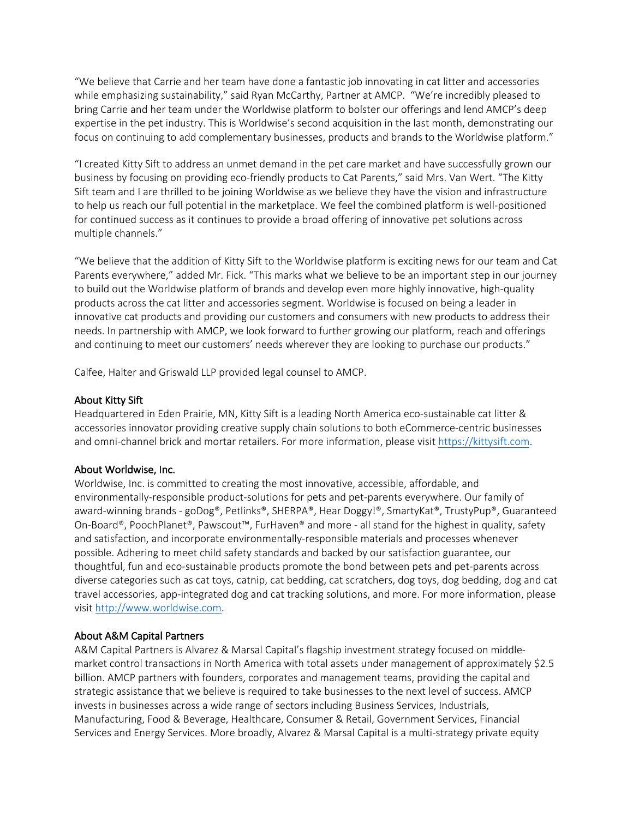"We believe that Carrie and her team have done a fantastic job innovating in cat litter and accessories while emphasizing sustainability," said Ryan McCarthy, Partner at AMCP. "We're incredibly pleased to bring Carrie and her team under the Worldwise platform to bolster our offerings and lend AMCP's deep expertise in the pet industry. This is Worldwise's second acquisition in the last month, demonstrating our focus on continuing to add complementary businesses, products and brands to the Worldwise platform."

"I created Kitty Sift to address an unmet demand in the pet care market and have successfully grown our business by focusing on providing eco-friendly products to Cat Parents," said Mrs. Van Wert. "The Kitty Sift team and I are thrilled to be joining Worldwise as we believe they have the vision and infrastructure to help us reach our full potential in the marketplace. We feel the combined platform is well-positioned for continued success as it continues to provide a broad offering of innovative pet solutions across multiple channels."

"We believe that the addition of Kitty Sift to the Worldwise platform is exciting news for our team and Cat Parents everywhere," added Mr. Fick. "This marks what we believe to be an important step in our journey to build out the Worldwise platform of brands and develop even more highly innovative, high-quality products across the cat litter and accessories segment. Worldwise is focused on being a leader in innovative cat products and providing our customers and consumers with new products to address their needs. In partnership with AMCP, we look forward to further growing our platform, reach and offerings and continuing to meet our customers' needs wherever they are looking to purchase our products."

Calfee, Halter and Griswald LLP provided legal counsel to AMCP.

# About Kitty Sift

Headquartered in Eden Prairie, MN, Kitty Sift is a leading North America eco-sustainable cat litter & accessories innovator providing creative supply chain solutions to both eCommerce-centric businesses and omni-channel brick and mortar retailers. For more information, please visit https://kittysift.com.

#### About Worldwise, Inc.

Worldwise, Inc. is committed to creating the most innovative, accessible, affordable, and environmentally-responsible product-solutions for pets and pet-parents everywhere. Our family of award-winning brands - goDog®, Petlinks®, SHERPA®, Hear Doggy!®, SmartyKat®, TrustyPup®, Guaranteed On-Board®, PoochPlanet®, Pawscout™, FurHaven® and more - all stand for the highest in quality, safety and satisfaction, and incorporate environmentally-responsible materials and processes whenever possible. Adhering to meet child safety standards and backed by our satisfaction guarantee, our thoughtful, fun and eco-sustainable products promote the bond between pets and pet-parents across diverse categories such as cat toys, catnip, cat bedding, cat scratchers, dog toys, dog bedding, dog and cat travel accessories, app-integrated dog and cat tracking solutions, and more. For more information, please visit http://www.worldwise.com.

# About A&M Capital Partners

A&M Capital Partners is Alvarez & Marsal Capital's flagship investment strategy focused on middlemarket control transactions in North America with total assets under management of approximately \$2.5 billion. AMCP partners with founders, corporates and management teams, providing the capital and strategic assistance that we believe is required to take businesses to the next level of success. AMCP invests in businesses across a wide range of sectors including Business Services, Industrials, Manufacturing, Food & Beverage, Healthcare, Consumer & Retail, Government Services, Financial Services and Energy Services. More broadly, Alvarez & Marsal Capital is a multi-strategy private equity